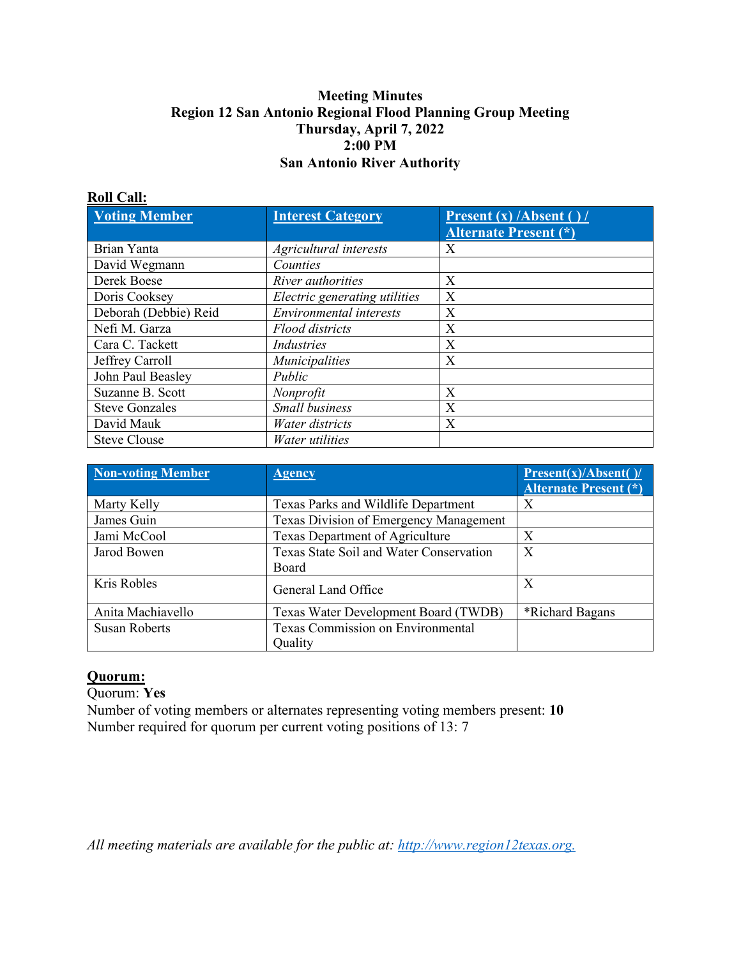### **Meeting Minutes Region 12 San Antonio Regional Flood Planning Group Meeting Thursday, April 7, 2022 2:00 PM San Antonio River Authority**

#### **Roll Call:**

| <b>Voting Member</b>  | <b>Interest Category</b>      | <b>Present (x) /Absent ()/</b><br><b>Alternate Present (*)</b> |
|-----------------------|-------------------------------|----------------------------------------------------------------|
| Brian Yanta           | Agricultural interests        | X                                                              |
| David Wegmann         | Counties                      |                                                                |
| Derek Boese           | <i>River authorities</i>      | X                                                              |
| Doris Cooksey         | Electric generating utilities | X                                                              |
| Deborah (Debbie) Reid | Environmental interests       | X                                                              |
| Nefi M. Garza         | <b>Flood districts</b>        | X                                                              |
| Cara C. Tackett       | <b>Industries</b>             | X                                                              |
| Jeffrey Carroll       | Municipalities                | X                                                              |
| John Paul Beasley     | Public                        |                                                                |
| Suzanne B. Scott      | Nonprofit                     | X                                                              |
| <b>Steve Gonzales</b> | Small business                | X                                                              |
| David Mauk            | Water districts               | X                                                              |
| <b>Steve Clouse</b>   | <i>Water utilities</i>        |                                                                |

| <b>Non-voting Member</b> | <b>Agency</b>                           | <b>Present(x)/Absent()/</b><br><b>Alternate Present (*)</b> |
|--------------------------|-----------------------------------------|-------------------------------------------------------------|
| Marty Kelly              | Texas Parks and Wildlife Department     | X                                                           |
| James Guin               | Texas Division of Emergency Management  |                                                             |
| Jami McCool              | Texas Department of Agriculture         | X                                                           |
| Jarod Bowen              | Texas State Soil and Water Conservation | $\boldsymbol{X}$                                            |
|                          | Board                                   |                                                             |
| Kris Robles              | General Land Office                     | X                                                           |
| Anita Machiavello        | Texas Water Development Board (TWDB)    | <i><b>*Richard Bagans</b></i>                               |
| <b>Susan Roberts</b>     | Texas Commission on Environmental       |                                                             |
|                          | Quality                                 |                                                             |

### **Quorum:**

Quorum: **Yes**

Number of voting members or alternates representing voting members present: **10**  Number required for quorum per current voting positions of 13: 7

*All meeting materials are available for the public at: [http://www.region12texas.org.](https://www.region12texas.org/)*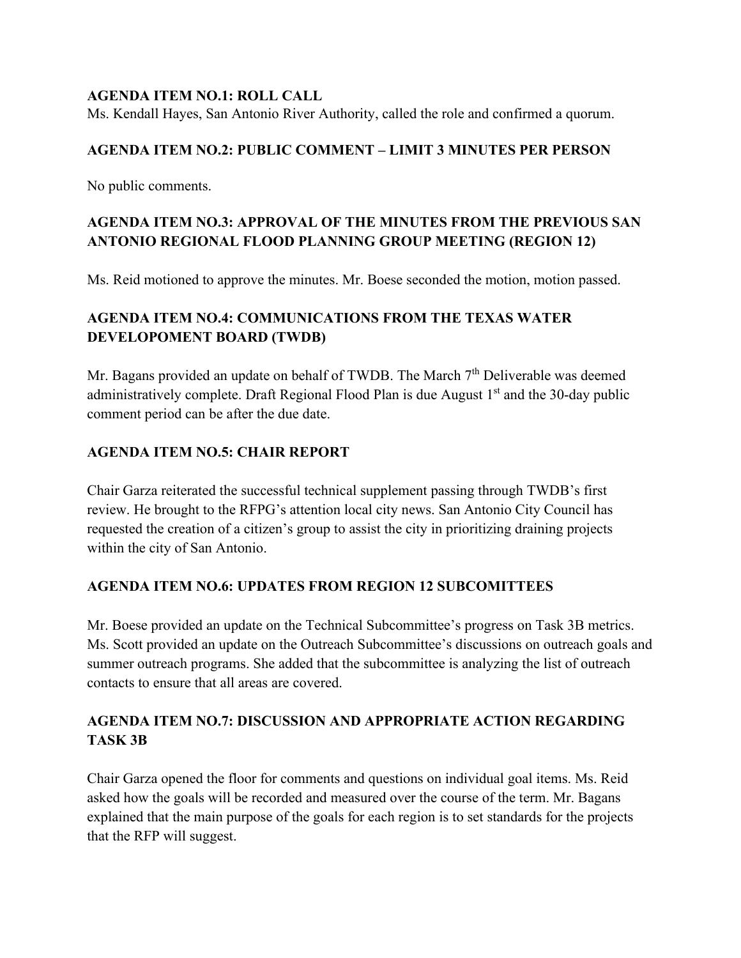#### **AGENDA ITEM NO.1: ROLL CALL**

Ms. Kendall Hayes, San Antonio River Authority, called the role and confirmed a quorum.

### **AGENDA ITEM NO.2: PUBLIC COMMENT – LIMIT 3 MINUTES PER PERSON**

No public comments.

## **AGENDA ITEM NO.3: APPROVAL OF THE MINUTES FROM THE PREVIOUS SAN ANTONIO REGIONAL FLOOD PLANNING GROUP MEETING (REGION 12)**

Ms. Reid motioned to approve the minutes. Mr. Boese seconded the motion, motion passed.

## **AGENDA ITEM NO.4: COMMUNICATIONS FROM THE TEXAS WATER DEVELOPOMENT BOARD (TWDB)**

Mr. Bagans provided an update on behalf of TWDB. The March  $7<sup>th</sup>$  Deliverable was deemed administratively complete. Draft Regional Flood Plan is due August  $1<sup>st</sup>$  and the 30-day public comment period can be after the due date.

### **AGENDA ITEM NO.5: CHAIR REPORT**

Chair Garza reiterated the successful technical supplement passing through TWDB's first review. He brought to the RFPG's attention local city news. San Antonio City Council has requested the creation of a citizen's group to assist the city in prioritizing draining projects within the city of San Antonio.

### **AGENDA ITEM NO.6: UPDATES FROM REGION 12 SUBCOMITTEES**

Mr. Boese provided an update on the Technical Subcommittee's progress on Task 3B metrics. Ms. Scott provided an update on the Outreach Subcommittee's discussions on outreach goals and summer outreach programs. She added that the subcommittee is analyzing the list of outreach contacts to ensure that all areas are covered.

## **AGENDA ITEM NO.7: DISCUSSION AND APPROPRIATE ACTION REGARDING TASK 3B**

Chair Garza opened the floor for comments and questions on individual goal items. Ms. Reid asked how the goals will be recorded and measured over the course of the term. Mr. Bagans explained that the main purpose of the goals for each region is to set standards for the projects that the RFP will suggest.